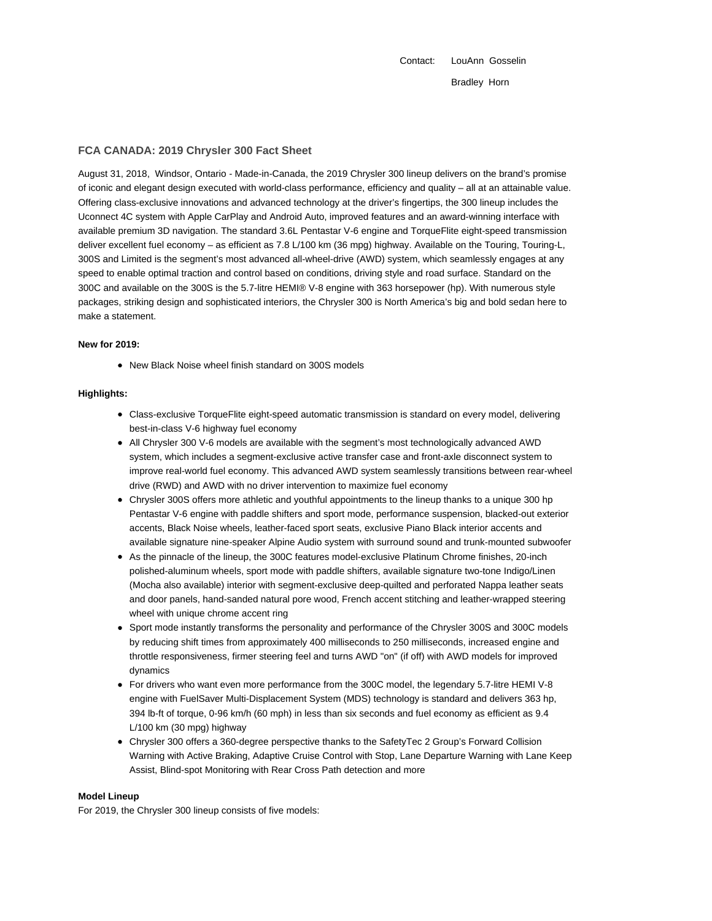Contact: LouAnn Gosselin Bradley Horn

## **FCA CANADA: 2019 Chrysler 300 Fact Sheet**

August 31, 2018, Windsor, Ontario - Made-in-Canada, the 2019 Chrysler 300 lineup delivers on the brand's promise of iconic and elegant design executed with world-class performance, efficiency and quality – all at an attainable value. Offering class-exclusive innovations and advanced technology at the driver's fingertips, the 300 lineup includes the Uconnect 4C system with Apple CarPlay and Android Auto, improved features and an award-winning interface with available premium 3D navigation. The standard 3.6L Pentastar V-6 engine and TorqueFlite eight-speed transmission deliver excellent fuel economy – as efficient as 7.8 L/100 km (36 mpg) highway. Available on the Touring, Touring-L, 300S and Limited is the segment's most advanced all-wheel-drive (AWD) system, which seamlessly engages at any speed to enable optimal traction and control based on conditions, driving style and road surface. Standard on the 300C and available on the 300S is the 5.7-litre HEMI® V-8 engine with 363 horsepower (hp). With numerous style packages, striking design and sophisticated interiors, the Chrysler 300 is North America's big and bold sedan here to make a statement.

### **New for 2019:**

New Black Noise wheel finish standard on 300S models

#### **Highlights:**

- Class-exclusive TorqueFlite eight-speed automatic transmission is standard on every model, delivering best-in-class V-6 highway fuel economy
- All Chrysler 300 V-6 models are available with the segment's most technologically advanced AWD system, which includes a segment-exclusive active transfer case and front-axle disconnect system to improve real-world fuel economy. This advanced AWD system seamlessly transitions between rear-wheel drive (RWD) and AWD with no driver intervention to maximize fuel economy
- Chrysler 300S offers more athletic and youthful appointments to the lineup thanks to a unique 300 hp Pentastar V-6 engine with paddle shifters and sport mode, performance suspension, blacked-out exterior accents, Black Noise wheels, leather-faced sport seats, exclusive Piano Black interior accents and available signature nine-speaker Alpine Audio system with surround sound and trunk-mounted subwoofer
- As the pinnacle of the lineup, the 300C features model-exclusive Platinum Chrome finishes, 20-inch polished-aluminum wheels, sport mode with paddle shifters, available signature two-tone Indigo/Linen (Mocha also available) interior with segment-exclusive deep-quilted and perforated Nappa leather seats and door panels, hand-sanded natural pore wood, French accent stitching and leather-wrapped steering wheel with unique chrome accent ring
- Sport mode instantly transforms the personality and performance of the Chrysler 300S and 300C models by reducing shift times from approximately 400 milliseconds to 250 milliseconds, increased engine and throttle responsiveness, firmer steering feel and turns AWD "on" (if off) with AWD models for improved dynamics
- For drivers who want even more performance from the 300C model, the legendary 5.7-litre HEMI V-8 engine with FuelSaver Multi-Displacement System (MDS) technology is standard and delivers 363 hp, 394 lb-ft of torque, 0-96 km/h (60 mph) in less than six seconds and fuel economy as efficient as 9.4 L/100 km (30 mpg) highway
- Chrysler 300 offers a 360-degree perspective thanks to the SafetyTec 2 Group's Forward Collision Warning with Active Braking, Adaptive Cruise Control with Stop, Lane Departure Warning with Lane Keep Assist, Blind-spot Monitoring with Rear Cross Path detection and more

#### **Model Lineup**

For 2019, the Chrysler 300 lineup consists of five models: